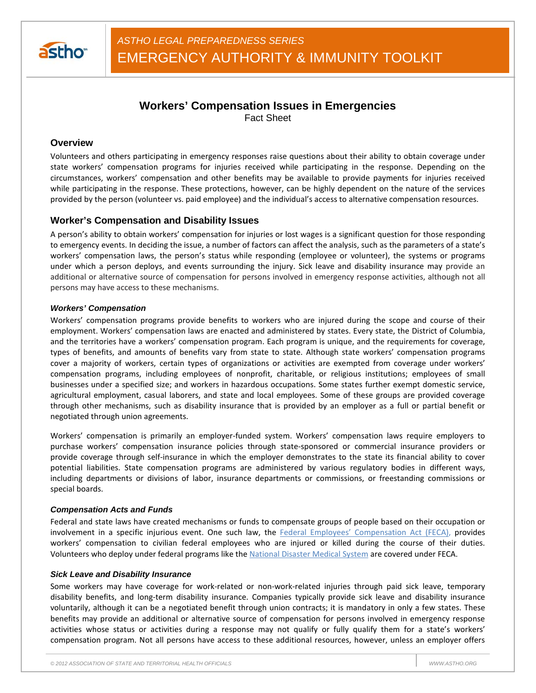

# **Workers' Compensation Issues in Emergencies** Fact Sheet

## **Overview**

Volunteers and others participating in emergency responses raise questions about their ability to obtain coverage under state workers' compensation programs for injuries received while participating in the response. Depending on the circumstances, workers' compensation and other benefits may be available to provide payments for injuries received while participating in the response. These protections, however, can be highly dependent on the nature of the services provided by the person (volunteer vs. paid employee) and the individual's access to alternative compensation resources.

### **Worker's Compensation and Disability Issues**

A person's ability to obtain workers' compensation for injuries or lost wages is a significant question for those responding to emergency events. In deciding the issue, a number of factors can affect the analysis, such as the parameters of a state's workers' compensation laws, the person's status while responding (employee or volunteer), the systems or programs under which a person deploys, and events surrounding the injury. Sick leave and disability insurance may provide an additional or alternative source of compensation for persons involved in emergency response activities, although not all persons may have access to these mechanisms.

### *Workers' Compensation*

Workers' compensation programs provide benefits to workers who are injured during the scope and course of their employment. Workers' compensation laws are enacted and administered by states. Every state, the District of Columbia, and the territories have a workers' compensation program. Each program is unique, and the requirements for coverage, types of benefits, and amounts of benefits vary from state to state. Although state workers' compensation programs cover a majority of workers, certain types of organizations or activities are exempted from coverage under workers' compensation programs, including employees of nonprofit, charitable, or religious institutions; employees of small businesses under a specified size; and workers in hazardous occupations. Some states further exempt domestic service, agricultural employment, casual laborers, and state and local employees. Some of these groups are provided coverage through other mechanisms, such as disability insurance that is provided by an employer as a full or partial benefit or negotiated through union agreements.

Workers' compensation is primarily an employer-funded system. Workers' compensation laws require employers to purchase workers' compensation insurance policies through state-sponsored or commercial insurance providers or provide coverage through self-insurance in which the employer demonstrates to the state its financial ability to cover potential liabilities. State compensation programs are administered by various regulatory bodies in different ways, including departments or divisions of labor, insurance departments or commissions, or freestanding commissions or special boards.

#### *Compensation Acts and Funds*

Federal and state laws have created mechanisms or funds to compensate groups of people based on their occupation or involvement in a specific injurious event. One such law, the Federal Employees' Compensation Act (FECA), provides workers' compensation to civilian federal employees who are injured or killed during the course of their duties. Volunteers who deploy under federal programs like the National Disaster Medical System are covered under FECA.

#### *Sick Leave and Disability Insurance*

Some workers may have coverage for work-related or non-work-related injuries through paid sick leave, temporary disability benefits, and long-term disability insurance. Companies typically provide sick leave and disability insurance voluntarily, although it can be a negotiated benefit through union contracts; it is mandatory in only a few states. These benefits may provide an additional or alternative source of compensation for persons involved in emergency response activities whose status or activities during a response may not qualify or fully qualify them for a state's workers' compensation program. Not all persons have access to these additional resources, however, unless an employer offers